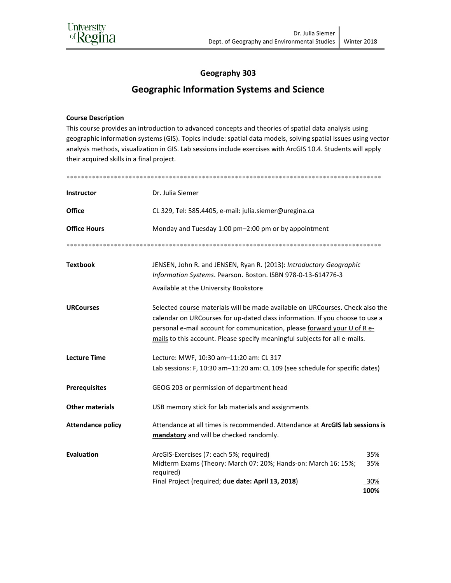

### Geography 303

# **Geographic Information Systems and Science**

#### **Course Description**

This course provides an introduction to advanced concepts and theories of spatial data analysis using geographic information systems (GIS). Topics include: spatial data models, solving spatial issues using vector analysis methods, visualization in GIS. Lab sessions include exercises with ArcGIS 10.4. Students will apply their acquired skills in a final project.

| <b>Instructor</b>        | Dr. Julia Siemer                                                                                                                                                                                                                                                                                                        |             |  |
|--------------------------|-------------------------------------------------------------------------------------------------------------------------------------------------------------------------------------------------------------------------------------------------------------------------------------------------------------------------|-------------|--|
| <b>Office</b>            | CL 329, Tel: 585.4405, e-mail: julia.siemer@uregina.ca                                                                                                                                                                                                                                                                  |             |  |
| <b>Office Hours</b>      | Monday and Tuesday 1:00 pm-2:00 pm or by appointment                                                                                                                                                                                                                                                                    |             |  |
|                          |                                                                                                                                                                                                                                                                                                                         |             |  |
| <b>Textbook</b>          | JENSEN, John R. and JENSEN, Ryan R. (2013): Introductory Geographic<br>Information Systems. Pearson. Boston. ISBN 978-0-13-614776-3<br>Available at the University Bookstore                                                                                                                                            |             |  |
| <b>URCourses</b>         | Selected course materials will be made available on URCourses. Check also the<br>calendar on URCourses for up-dated class information. If you choose to use a<br>personal e-mail account for communication, please forward your U of R e-<br>mails to this account. Please specify meaningful subjects for all e-mails. |             |  |
| <b>Lecture Time</b>      | Lecture: MWF, 10:30 am-11:20 am: CL 317<br>Lab sessions: F, 10:30 am-11:20 am: CL 109 (see schedule for specific dates)                                                                                                                                                                                                 |             |  |
| <b>Prerequisites</b>     | GEOG 203 or permission of department head                                                                                                                                                                                                                                                                               |             |  |
| <b>Other materials</b>   | USB memory stick for lab materials and assignments                                                                                                                                                                                                                                                                      |             |  |
| <b>Attendance policy</b> | Attendance at all times is recommended. Attendance at <b>ArcGIS lab sessions is</b><br>mandatory and will be checked randomly.                                                                                                                                                                                          |             |  |
| <b>Evaluation</b>        | ArcGIS-Exercises (7: each 5%; required)<br>Midterm Exams (Theory: March 07: 20%; Hands-on: March 16: 15%;<br>required)                                                                                                                                                                                                  | 35%<br>35%  |  |
|                          | Final Project (required; due date: April 13, 2018)                                                                                                                                                                                                                                                                      | 30%<br>100% |  |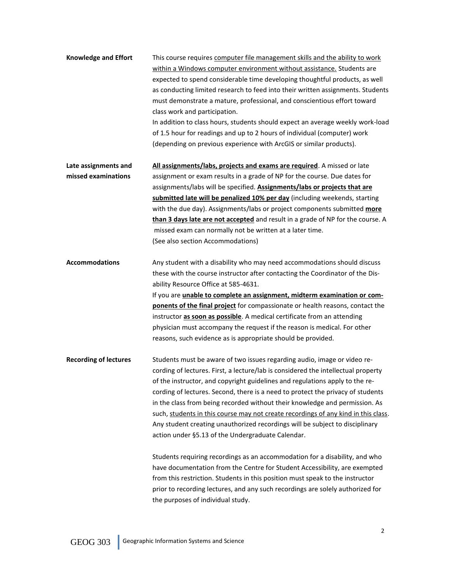**Knowledge and Effort** This course requires computer file management skills and the ability to work within a Windows computer environment without assistance. Students are expected to spend considerable time developing thoughtful products, as well as conducting limited research to feed into their written assignments. Students must demonstrate a mature, professional, and conscientious effort toward class work and participation. In addition to class hours, students should expect an average weekly work-load of 1.5 hour for readings and up to 2 hours of individual (computer) work

(depending on previous experience with ArcGIS or similar products).

**Late assignments and All assignments/labs, projects and exams are required**. A missed or late **missed examinations** assignment or exam results in a grade of NP for the course. Due dates for assignments/labs will be specified. **Assignments/labs or projects that are submitted late will be penalized 10% per day** (including weekends, starting with the due day). Assignments/labs or project components submitted **more than 3 days late are not accepted** and result in a grade of NP for the course. A missed exam can normally not be written at a later time. (See also section Accommodations)

**Accommodations** Any student with a disability who may need accommodations should discuss these with the course instructor after contacting the Coordinator of the Disability Resource Office at 585-4631.

> If you are **unable to complete an assignment, midterm examination or components of the final project** for compassionate or health reasons, contact the instructor **as soon as possible**. A medical certificate from an attending physician must accompany the request if the reason is medical. For other reasons, such evidence as is appropriate should be provided.

**Recording of lectures** Students must be aware of two issues regarding audio, image or video recording of lectures. First, a lecture/lab is considered the intellectual property of the instructor, and copyright guidelines and regulations apply to the recording of lectures. Second, there is a need to protect the privacy of students in the class from being recorded without their knowledge and permission. As such, students in this course may not create recordings of any kind in this class. Any student creating unauthorized recordings will be subject to disciplinary action under §5.13 of the Undergraduate Calendar.

> Students requiring recordings as an accommodation for a disability, and who have documentation from the Centre for Student Accessibility, are exempted from this restriction. Students in this position must speak to the instructor prior to recording lectures, and any such recordings are solely authorized for the purposes of individual study.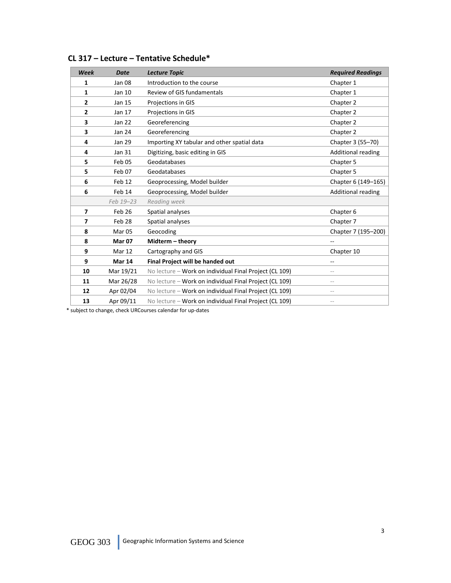| Week                     | <b>Date</b>       | <b>Lecture Topic</b>                                   | <b>Required Readings</b>  |
|--------------------------|-------------------|--------------------------------------------------------|---------------------------|
| 1                        | Jan 08            | Introduction to the course                             | Chapter 1                 |
| 1                        | Jan 10            | Review of GIS fundamentals                             | Chapter 1                 |
| $\mathbf{2}$             | Jan 15            | Projections in GIS                                     | Chapter 2                 |
| $\overline{2}$           | Jan 17            | Projections in GIS                                     | Chapter 2                 |
| 3                        | Jan 22            | Georeferencing                                         | Chapter 2                 |
| 3                        | Jan 24            | Georeferencing                                         | Chapter 2                 |
| 4                        | Jan 29            | Importing XY tabular and other spatial data            | Chapter 3 (55-70)         |
| 4                        | Jan 31            | Digitizing, basic editing in GIS                       | <b>Additional reading</b> |
| 5                        | Feb <sub>05</sub> | Geodatabases                                           | Chapter 5                 |
| 5                        | Feb 07            | Geodatabases                                           | Chapter 5                 |
| 6                        | Feb 12            | Geoprocessing, Model builder                           | Chapter 6 (149-165)       |
| 6                        | Feb 14            | Geoprocessing, Model builder                           | Additional reading        |
|                          | Feb 19-23         | Reading week                                           |                           |
| $\overline{ }$           | Feb 26            | Spatial analyses                                       | Chapter 6                 |
| $\overline{\phantom{a}}$ | Feb <sub>28</sub> | Spatial analyses                                       | Chapter 7                 |
| 8                        | Mar <sub>05</sub> | Geocoding                                              | Chapter 7 (195-200)       |
| 8                        | <b>Mar 07</b>     | Midterm - theory                                       |                           |
| 9                        | Mar 12            | Cartography and GIS                                    | Chapter 10                |
| 9                        | <b>Mar 14</b>     | Final Project will be handed out                       |                           |
| 10                       | Mar 19/21         | No lecture - Work on individual Final Project (CL 109) | $\qquad \qquad -$         |
| 11                       | Mar 26/28         | No lecture - Work on individual Final Project (CL 109) | $\qquad \qquad -$         |
| 12                       | Apr 02/04         | No lecture - Work on individual Final Project (CL 109) | $\qquad \qquad -$         |
| 13                       | Apr 09/11         | No lecture - Work on individual Final Project (CL 109) | $\qquad \qquad -$         |

## **CL 317 – Lecture – Tentative Schedule\***

\* subject to change, check URCourses calendar for up-dates